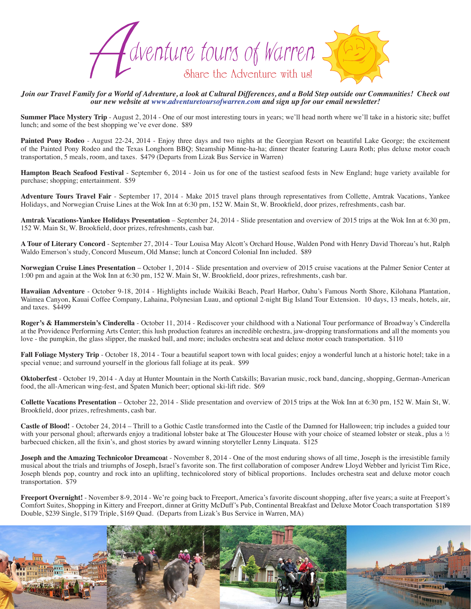

*Join our Travel Family for a World of Adventure, a look at Cultural Differences, and a Bold Step outside our Communities! Check out our new website at www.adventuretoursofwarren.com and sign up for our email newsletter!* 

**Summer Place Mystery Trip** - August 2, 2014 - One of our most interesting tours in years; we'll head north where we'll take in a historic site; buffet lunch; and some of the best shopping we've ever done. \$89

Painted Pony Rodeo - August 22-24, 2014 - Enjoy three days and two nights at the Georgian Resort on beautiful Lake George; the excitement of the Painted Pony Rodeo and the Texas Longhorn BBQ; Steamship Minne-ha-ha; dinner theater featuring Laura Roth; plus deluxe motor coach transportation, 5 meals, room, and taxes. \$479 (Departs from Lizak Bus Service in Warren)

**Hampton Beach Seafood Festival** - September 6, 2014 - Join us for one of the tastiest seafood fests in New England; huge variety available for purchase; shopping; entertainment. \$59

**Adventure Tours Travel Fair** - September 17, 2014 - Make 2015 travel plans through representatives from Collette, Amtrak Vacations, Yankee Holidays, and Norwegian Cruise Lines at the Wok Inn at 6:30 pm, 152 W. Main St, W. Brookfield, door prizes, refreshments, cash bar.

**Amtrak Vacations-Yankee Holidays Presentation** – September 24, 2014 - Slide presentation and overview of 2015 trips at the Wok Inn at 6:30 pm, 152 W. Main St, W. Brookfield, door prizes, refreshments, cash bar.

**A Tour of Literary Concord** - September 27, 2014 - Tour Louisa May Alcott's Orchard House, Walden Pond with Henry David Thoreau's hut, Ralph Waldo Emerson's study, Concord Museum, Old Manse; lunch at Concord Colonial Inn included. \$89

**Norwegian Cruise Lines Presentation** – October 1, 2014 - Slide presentation and overview of 2015 cruise vacations at the Palmer Senior Center at 1:00 pm and again at the Wok Inn at 6:30 pm, 152 W. Main St, W. Brookfield, door prizes, refreshments, cash bar.

**Hawaiian Adventure** - October 9-18, 2014 - Highlights include Waikiki Beach, Pearl Harbor, Oahu's Famous North Shore, Kilohana Plantation, Waimea Canyon, Kauai Coffee Company, Lahaina, Polynesian Luau, and optional 2-night Big Island Tour Extension. 10 days, 13 meals, hotels, air, and taxes. \$4499

**Roger's & Hammerstein's Cinderella** - October 11, 2014 - Rediscover your childhood with a National Tour performance of Broadway's Cinderella at the Providence Performing Arts Center; this lush production features an incredible orchestra, jaw-dropping transformations and all the moments you love - the pumpkin, the glass slipper, the masked ball, and more; includes orchestra seat and deluxe motor coach transportation. \$110

Fall Foliage Mystery Trip - October 18, 2014 - Tour a beautiful seaport town with local guides; enjoy a wonderful lunch at a historic hotel; take in a special venue; and surround yourself in the glorious fall foliage at its peak. \$99

**Oktoberfest** - October 19, 2014 - A day at Hunter Mountain in the North Catskills; Bavarian music, rock band, dancing, shopping, German-American food, the all-American wing-fest, and Spaten Munich beer; optional ski-lift ride. \$69

**Collette Vacations Presentation** – October 22, 2014 - Slide presentation and overview of 2015 trips at the Wok Inn at 6:30 pm, 152 W. Main St, W. Brookfield, door prizes, refreshments, cash bar.

**Castle of Blood!** - October 24, 2014 – Thrill to a Gothic Castle transformed into the Castle of the Damned for Halloween; trip includes a guided tour with your personal ghoul; afterwards enjoy a traditional lobster bake at The Gloucester House with your choice of steamed lobster or steak, plus a ½ barbecued chicken, all the fixin's, and ghost stories by award winning storyteller Lenny Linquata. \$125

**Joseph and the Amazing Technicolor Dreamcoat** - November 8, 2014 - One of the most enduring shows of all time, Joseph is the irresistible family musical about the trials and triumphs of Joseph, Israel's favorite son. The first collaboration of composer Andrew Lloyd Webber and lyricist Tim Rice, Joseph blends pop, country and rock into an uplifting, technicolored story of biblical proportions. Includes orchestra seat and deluxe motor coach transportation. \$79

**Freeport Overnight!** - November 8-9, 2014 - We're going back to Freeport, America's favorite discount shopping, after five years; a suite at Freeport's Comfort Suites, Shopping in Kittery and Freeport, dinner at Gritty McDuff's Pub, Continental Breakfast and Deluxe Motor Coach transportation \$189 Double, \$239 Single, \$179 Triple, \$169 Quad. (Departs from Lizak's Bus Service in Warren, MA)